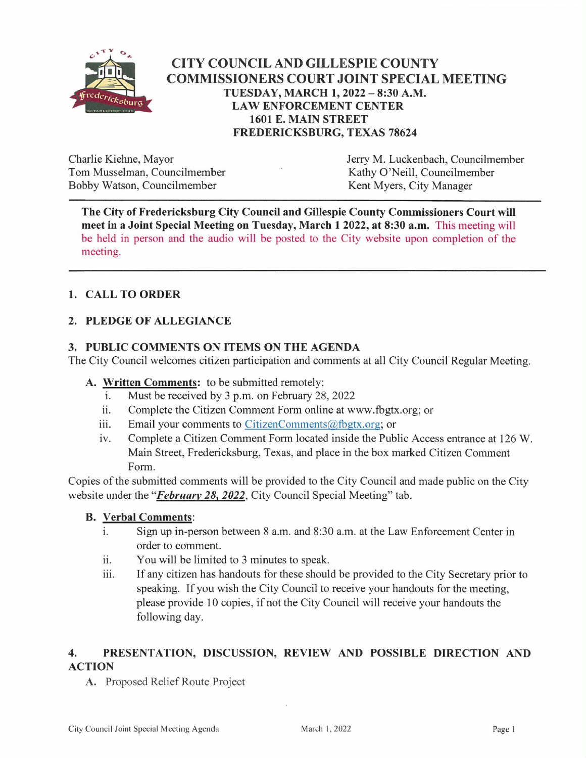

# **CITY COUNCIL AND GILLESPIE COUNTY COMMISSIONERS COURT JOINT SPECIAL MEETING** TUESDAY, MARCH 1, 2022 - 8:30 A.M. **LAW ENFORCEMENT CENTER 1601 E. MAIN STREET FREDERICKSBURG, TEXAS 78624**

Charlie Kiehne, Mayor Tom Musselman, Councilmember Bobby Watson, Councilmember

Jerry M. Luckenbach, Councilmember Kathy O'Neill, Councilmember Kent Myers, City Manager

The City of Fredericksburg City Council and Gillespie County Commissioners Court will meet in a Joint Special Meeting on Tuesday, March 1 2022, at 8:30 a.m. This meeting will be held in person and the audio will be posted to the City website upon completion of the meeting.

# 1. CALL TO ORDER

## 2. PLEDGE OF ALLEGIANCE

### 3. PUBLIC COMMENTS ON ITEMS ON THE AGENDA

The City Council welcomes citizen participation and comments at all City Council Regular Meeting.

### A. Written Comments: to be submitted remotely:

- i. Must be received by 3 p.m. on February 28, 2022
- ii. Complete the Citizen Comment Form online at www.fbgtx.org; or
- iii. Email your comments to CitizenComments@fbgtx.org; or
- Complete a Citizen Comment Form located inside the Public Access entrance at 126 W. iv. Main Street, Fredericksburg, Texas, and place in the box marked Citizen Comment Form.

Copies of the submitted comments will be provided to the City Council and made public on the City website under the "February 28, 2022, City Council Special Meeting" tab.

#### **B.** Verbal Comments:

- $\mathbf{i}$ . Sign up in-person between 8 a.m. and 8:30 a.m. at the Law Enforcement Center in order to comment.
- ii. You will be limited to 3 minutes to speak.
- iii. If any citizen has handouts for these should be provided to the City Secretary prior to speaking. If you wish the City Council to receive your handouts for the meeting. please provide 10 copies, if not the City Council will receive your handouts the following day.

#### $\overline{4}$ . PRESENTATION, DISCUSSION, REVIEW AND POSSIBLE DIRECTION AND **ACTION**

A. Proposed Relief Route Project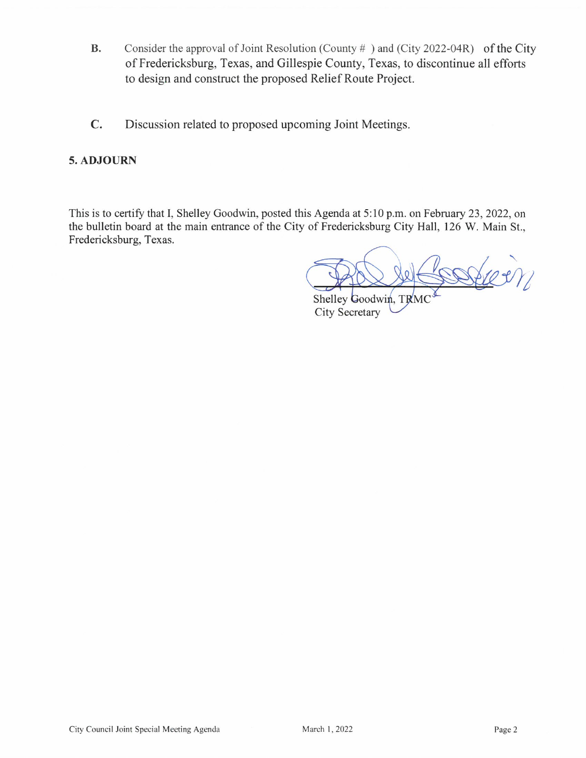- **B.** Consider the approval of Joint Resolution (County  $#$ ) and (City 2022-04R) of the City of Fredericksburg, Texas, and Gillespie County, Texas, to discontinue all efforts to design and construct the proposed Relief Route Project.
- $\mathbf{C}$ . Discussion related to proposed upcoming Joint Meetings.

### 5. ADJOURN

This is to certify that I, Shelley Goodwin, posted this Agenda at 5:10 p.m. on February 23, 2022, on the bulletin board at the main entrance of the City of Fredericksburg City Hall, 126 W. Main St., Fredericksburg, Texas.

Steer

Shelley Goodwin, TRMG **City Secretary**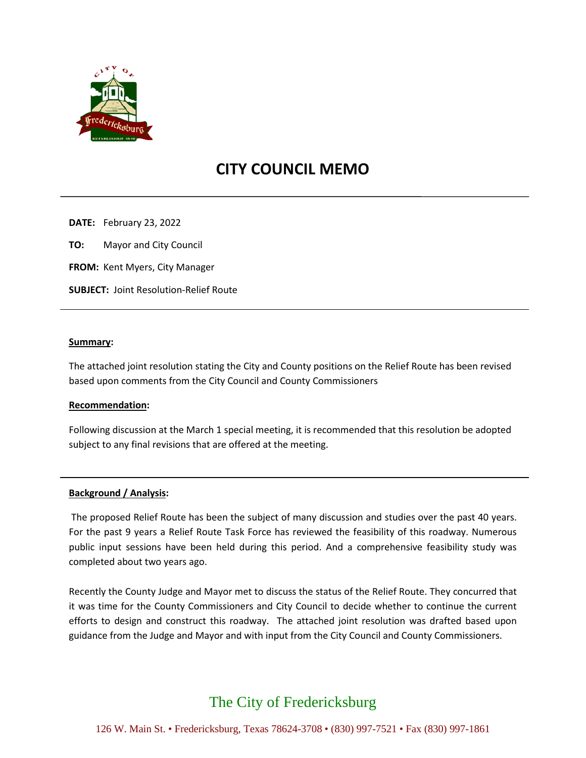

# **CITY COUNCIL MEMO**

**DATE:** February 23, 2022

**TO:** Mayor and City Council

**FROM:** Kent Myers, City Manager

**SUBJECT:** Joint Resolution-Relief Route

#### **Summary:**

The attached joint resolution stating the City and County positions on the Relief Route has been revised based upon comments from the City Council and County Commissioners

#### **Recommendation:**

Following discussion at the March 1 special meeting, it is recommended that this resolution be adopted subject to any final revisions that are offered at the meeting.

#### **Background / Analysis:**

The proposed Relief Route has been the subject of many discussion and studies over the past 40 years. For the past 9 years a Relief Route Task Force has reviewed the feasibility of this roadway. Numerous public input sessions have been held during this period. And a comprehensive feasibility study was completed about two years ago.

Recently the County Judge and Mayor met to discuss the status of the Relief Route. They concurred that it was time for the County Commissioners and City Council to decide whether to continue the current efforts to design and construct this roadway. The attached joint resolution was drafted based upon guidance from the Judge and Mayor and with input from the City Council and County Commissioners.

# The City of Fredericksburg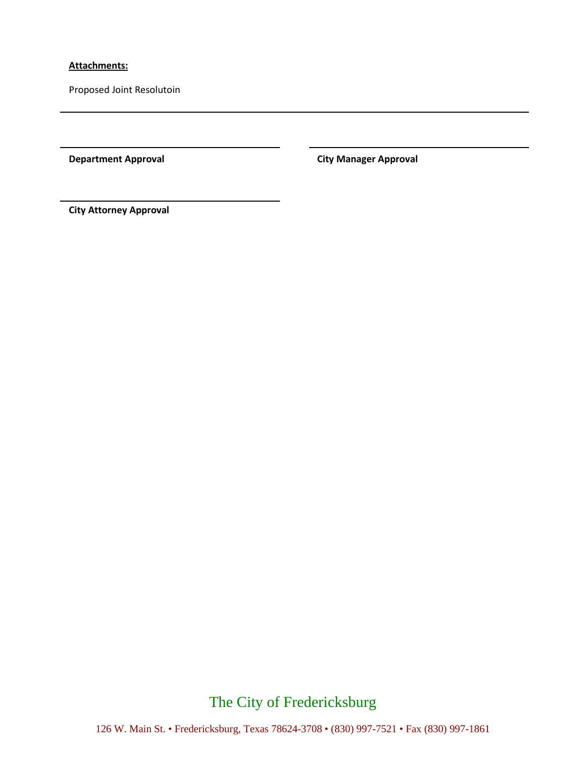#### **Attachments:**

Proposed Joint Resolutoin

**Department Approval City Manager Approval** 

**City Attorney Approval**

# The City of Fredericksburg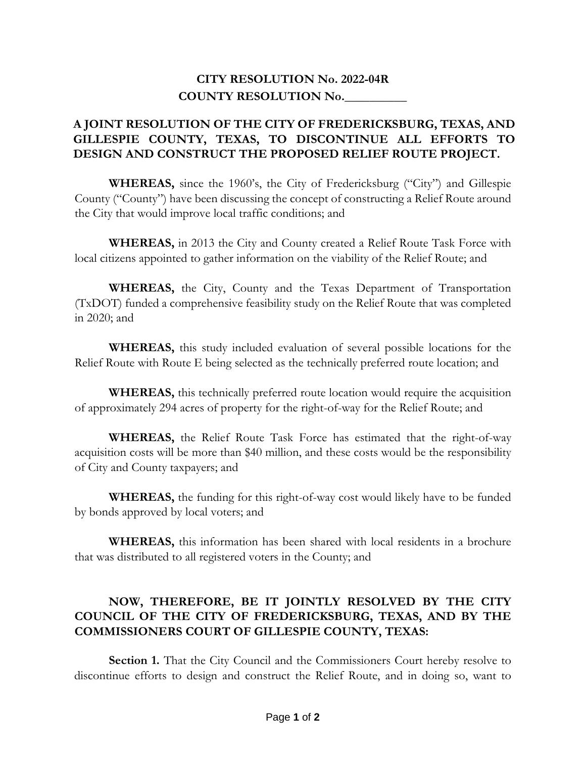# **CITY RESOLUTION No. 2022-04R COUNTY RESOLUTION No.\_\_\_\_\_\_\_\_\_\_**

# **A JOINT RESOLUTION OF THE CITY OF FREDERICKSBURG, TEXAS, AND GILLESPIE COUNTY, TEXAS, TO DISCONTINUE ALL EFFORTS TO DESIGN AND CONSTRUCT THE PROPOSED RELIEF ROUTE PROJECT.**

**WHEREAS,** since the 1960's, the City of Fredericksburg ("City") and Gillespie County ("County") have been discussing the concept of constructing a Relief Route around the City that would improve local traffic conditions; and

**WHEREAS,** in 2013 the City and County created a Relief Route Task Force with local citizens appointed to gather information on the viability of the Relief Route; and

**WHEREAS,** the City, County and the Texas Department of Transportation (TxDOT) funded a comprehensive feasibility study on the Relief Route that was completed in 2020; and

**WHEREAS,** this study included evaluation of several possible locations for the Relief Route with Route E being selected as the technically preferred route location; and

**WHEREAS,** this technically preferred route location would require the acquisition of approximately 294 acres of property for the right-of-way for the Relief Route; and

**WHEREAS,** the Relief Route Task Force has estimated that the right-of-way acquisition costs will be more than \$40 million, and these costs would be the responsibility of City and County taxpayers; and

**WHEREAS,** the funding for this right-of-way cost would likely have to be funded by bonds approved by local voters; and

**WHEREAS,** this information has been shared with local residents in a brochure that was distributed to all registered voters in the County; and

# **NOW, THEREFORE, BE IT JOINTLY RESOLVED BY THE CITY COUNCIL OF THE CITY OF FREDERICKSBURG, TEXAS, AND BY THE COMMISSIONERS COURT OF GILLESPIE COUNTY, TEXAS:**

**Section 1.** That the City Council and the Commissioners Court hereby resolve to discontinue efforts to design and construct the Relief Route, and in doing so, want to